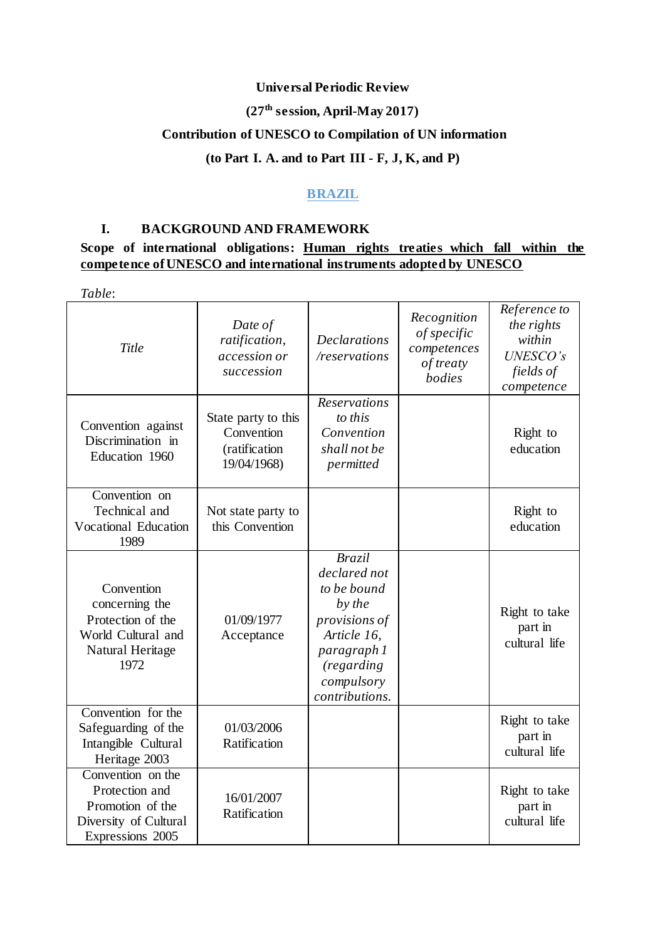#### **Universal Periodic Review**

# **(27th session, April-May 2017)**

### **Contribution of UNESCO to Compilation of UN information**

# **(to Part I. A. and to Part III - F, J, K, and P)**

#### **BRAZIL**

#### **I. BACKGROUND AND FRAMEWORK**

## **Scope of international obligations: Human rights treaties which fall within the competence of UNESCO and international instruments adopted by UNESCO**

| Table:                                                                                               |                                                                   |                                                                                                                                                     |                                                                  |                                                                                    |
|------------------------------------------------------------------------------------------------------|-------------------------------------------------------------------|-----------------------------------------------------------------------------------------------------------------------------------------------------|------------------------------------------------------------------|------------------------------------------------------------------------------------|
| Title                                                                                                | Date of<br>ratification,<br>accession or<br>succession            | <b>Declarations</b><br>/reservations                                                                                                                | Recognition<br>of specific<br>competences<br>of treaty<br>bodies | Reference to<br>the rights<br>within<br><b>UNESCO's</b><br>fields of<br>competence |
| Convention against<br>Discrimination in<br>Education 1960                                            | State party to this<br>Convention<br>(ratification<br>19/04/1968) | <b>Reservations</b><br>to this<br>Convention<br>shall not be<br>permitted                                                                           |                                                                  | Right to<br>education                                                              |
| Convention on<br>Technical and<br><b>Vocational Education</b><br>1989                                | Not state party to<br>this Convention                             |                                                                                                                                                     |                                                                  | Right to<br>education                                                              |
| Convention<br>concerning the<br>Protection of the<br>World Cultural and<br>Natural Heritage<br>1972  | 01/09/1977<br>Acceptance                                          | <b>Brazil</b><br>declared not<br>to be bound<br>by the<br>provisions of<br>Article 16,<br>paragraph 1<br>(regarding<br>compulsory<br>contributions. |                                                                  | Right to take<br>part in<br>cultural life                                          |
| Convention for the<br>Safeguarding of the<br>Intangible Cultural<br>Heritage 2003                    | 01/03/2006<br>Ratification                                        |                                                                                                                                                     |                                                                  | Right to take<br>part in<br>cultural life                                          |
| Convention on the<br>Protection and<br>Promotion of the<br>Diversity of Cultural<br>Expressions 2005 | 16/01/2007<br>Ratification                                        |                                                                                                                                                     |                                                                  | Right to take<br>part in<br>cultural life                                          |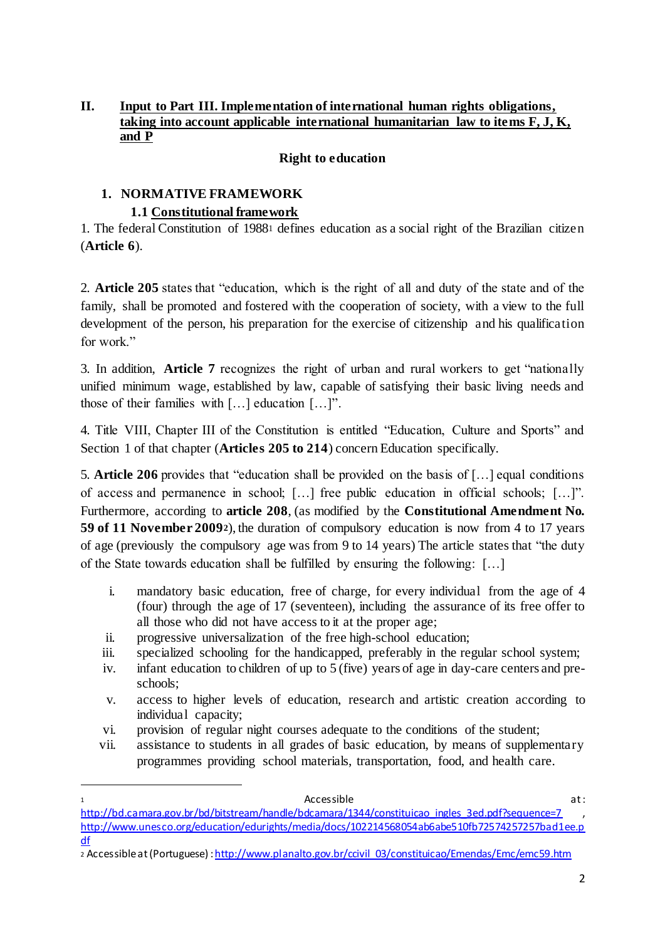#### **II. Input to Part III. Implementation of international human rights obligations, taking into account applicable international humanitarian law to items F, J, K, and P**

#### **Right to education**

### **1. NORMATIVE FRAMEWORK**

#### **1.1 Constitutional framework**

1. The federal Constitution of 1988<sup>1</sup> defines education as a social right of the Brazilian citizen (**Article 6**).

2. **Article 205** states that "education, which is the right of all and duty of the state and of the family, shall be promoted and fostered with the cooperation of society, with a view to the full development of the person, his preparation for the exercise of citizenship and his qualification for work."

3. In addition, **Article 7** recognizes the right of urban and rural workers to get "nationally unified minimum wage, established by law, capable of satisfying their basic living needs and those of their families with […] education […]".

4. Title VIII, Chapter III of the Constitution is entitled "Education, Culture and Sports" and Section 1 of that chapter (**Articles 205 to 214**) concern Education specifically.

5. **Article 206** provides that "education shall be provided on the basis of […] equal conditions of access and permanence in school; […] free public education in official schools; […]". Furthermore, according to **article 208**, (as modified by the **Constitutional Amendment No. 59 of 11 November 20092**), the duration of compulsory education is now from 4 to 17 years of age (previously the compulsory age was from 9 to 14 years) The article states that "the duty of the State towards education shall be fulfilled by ensuring the following: […]

- i. mandatory basic education, free of charge, for every individual from the age of 4 (four) through the age of 17 (seventeen), including the assurance of its free offer to all those who did not have access to it at the proper age;
- ii. progressive universalization of the free high-school education;

- iii. specialized schooling for the handicapped, preferably in the regular school system;
- iv. infant education to children of up to 5 (five) years of age in day-care centers and preschools;
- v. access to higher levels of education, research and artistic creation according to individual capacity;
- vi. provision of regular night courses adequate to the conditions of the student;
- vii. assistance to students in all grades of basic education, by means of supplementary programmes providing school materials, transportation, food, and health care.

<sup>1</sup> **Accessible at:** 

http://bd.camara.gov.br/bd/bitstream/handle/bdcamara/1344/constituicao\_ingles\_3ed.pdf?sequence=7 http://www.unesco.org/education/edurights/media/docs/102214568054ab6abe510fb72574257257bad1ee.p df

<sup>2</sup> Accessible at (Portuguese) : http://www.planalto.gov.br/ccivil\_03/constituicao/Emendas/Emc/emc59.htm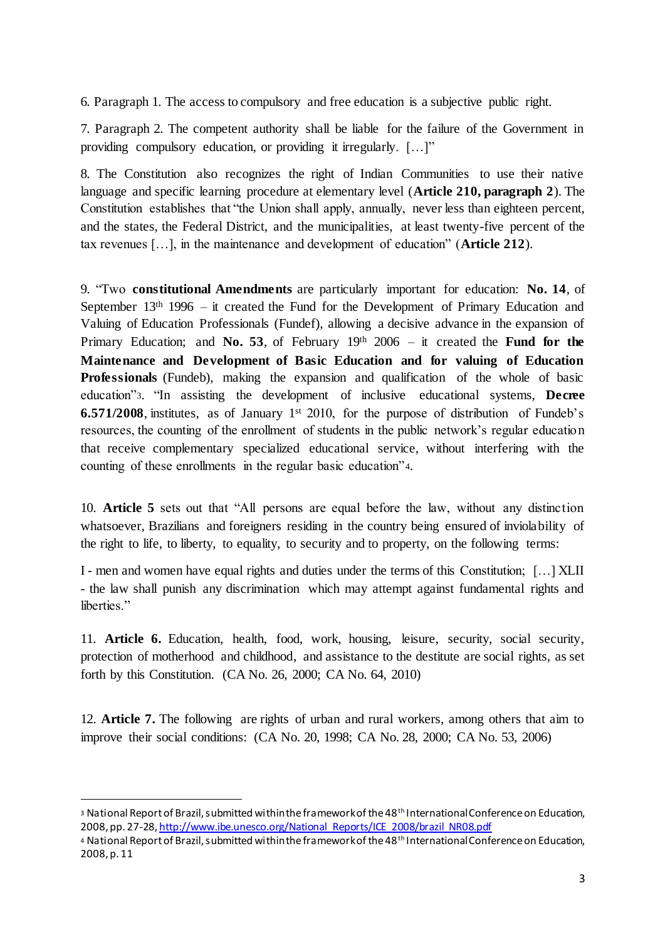6. Paragraph 1. The access to compulsory and free education is a subjective public right.

7. Paragraph 2. The competent authority shall be liable for the failure of the Government in providing compulsory education, or providing it irregularly. […]"

8. The Constitution also recognizes the right of Indian Communities to use their native language and specific learning procedure at elementary level (**Article 210, paragraph 2**). The Constitution establishes that "the Union shall apply, annually, never less than eighteen percent, and the states, the Federal District, and the municipalities, at least twenty-five percent of the tax revenues […], in the maintenance and development of education" (**Article 212**).

9. "Two **constitutional Amendments** are particularly important for education: **No. 14**, of September 13<sup>th</sup> 1996 – it created the Fund for the Development of Primary Education and Valuing of Education Professionals (Fundef), allowing a decisive advance in the expansion of Primary Education; and **No. 53**, of February 19th 2006 – it created the **Fund for the Maintenance and Development of Basic Education and for valuing of Education Professionals** (Fundeb), making the expansion and qualification of the whole of basic education"3. "In assisting the development of inclusive educational systems, **Decree 6.571/2008**, institutes, as of January 1<sup>st</sup> 2010, for the purpose of distribution of Fundeb's resources, the counting of the enrollment of students in the public network's regular education that receive complementary specialized educational service, without interfering with the counting of these enrollments in the regular basic education"4.

10. **Article 5** sets out that "All persons are equal before the law, without any distinction whatsoever, Brazilians and foreigners residing in the country being ensured of inviolability of the right to life, to liberty, to equality, to security and to property, on the following terms:

I - men and women have equal rights and duties under the terms of this Constitution; […] XLII - the law shall punish any discrimination which may attempt against fundamental rights and liberties."

11. **Article 6.** Education, health, food, work, housing, leisure, security, social security, protection of motherhood and childhood, and assistance to the destitute are social rights, as set forth by this Constitution. (CA No. 26, 2000; CA No. 64, 2010)

12. **Article 7.** The following are rights of urban and rural workers, among others that aim to improve their social conditions: (CA No. 20, 1998; CA No. 28, 2000; CA No. 53, 2006)

<sup>&</sup>lt;sup>3</sup> National Report of Brazil, submitted within the framework of the 48<sup>th</sup> International Conference on Education, 2008, pp. 27-28, http://www.ibe.unesco.org/National\_Reports/ICE\_2008/brazil\_NR08.pdf

<sup>4</sup> National Report of Brazil, submitted within the framework of the 48<sup>th</sup> International Conference on Education, 2008, p. 11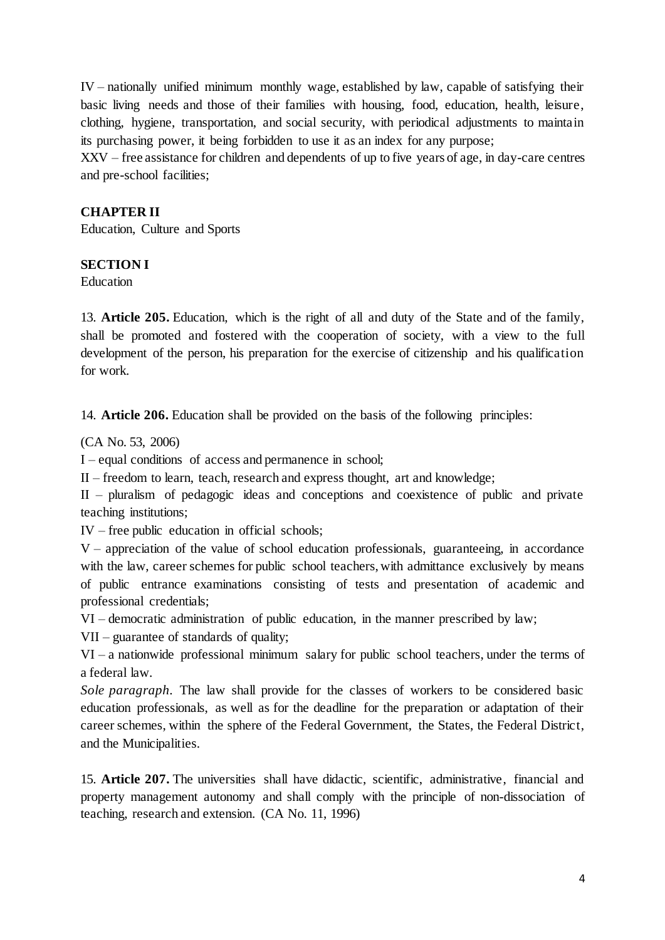IV – nationally unified minimum monthly wage, established by law, capable of satisfying their basic living needs and those of their families with housing, food, education, health, leisure, clothing, hygiene, transportation, and social security, with periodical adjustments to maintain its purchasing power, it being forbidden to use it as an index for any purpose;

XXV – free assistance for children and dependents of up to five years of age, in day-care centres and pre-school facilities;

#### **CHAPTER II**

Education, Culture and Sports

#### **SECTION I**

Education

13. **Article 205.** Education, which is the right of all and duty of the State and of the family, shall be promoted and fostered with the cooperation of society, with a view to the full development of the person, his preparation for the exercise of citizenship and his qualification for work.

14. **Article 206.** Education shall be provided on the basis of the following principles:

(CA No. 53, 2006)

I – equal conditions of access and permanence in school;

II – freedom to learn, teach, research and express thought, art and knowledge;

II – pluralism of pedagogic ideas and conceptions and coexistence of public and private teaching institutions;

IV – free public education in official schools;

 $V$  – appreciation of the value of school education professionals, guaranteeing, in accordance with the law, career schemes for public school teachers, with admittance exclusively by means of public entrance examinations consisting of tests and presentation of academic and professional credentials;

VI – democratic administration of public education, in the manner prescribed by law;

VII – guarantee of standards of quality;

VI – a nationwide professional minimum salary for public school teachers, under the terms of a federal law.

*Sole paragraph.* The law shall provide for the classes of workers to be considered basic education professionals, as well as for the deadline for the preparation or adaptation of their career schemes, within the sphere of the Federal Government, the States, the Federal District, and the Municipalities.

15. **Article 207.** The universities shall have didactic, scientific, administrative, financial and property management autonomy and shall comply with the principle of non-dissociation of teaching, research and extension. (CA No. 11, 1996)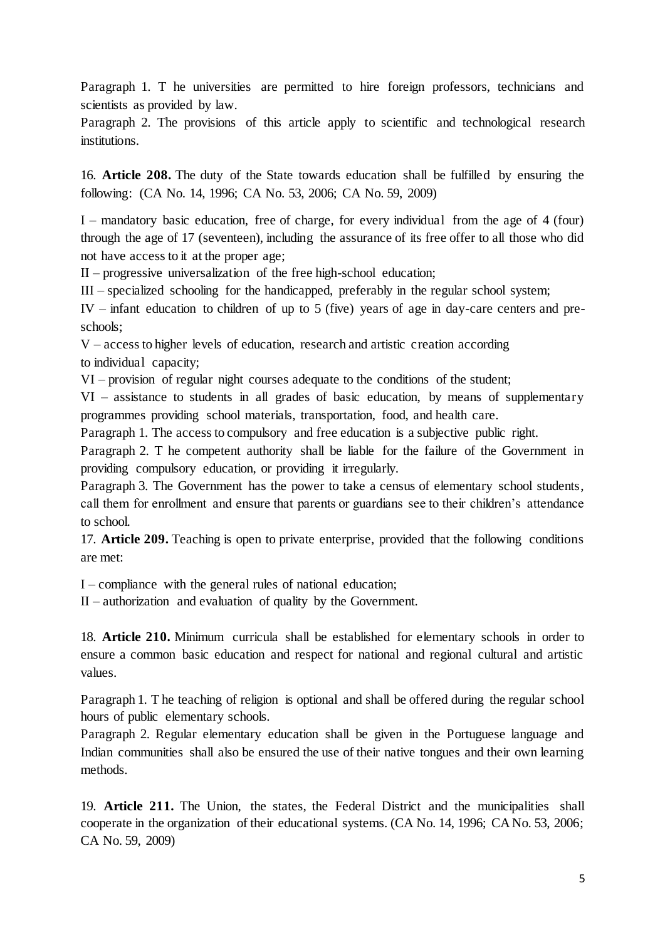Paragraph 1. T he universities are permitted to hire foreign professors, technicians and scientists as provided by law.

Paragraph 2. The provisions of this article apply to scientific and technological research institutions.

16. **Article 208.** The duty of the State towards education shall be fulfilled by ensuring the following: (CA No. 14, 1996; CA No. 53, 2006; CA No. 59, 2009)

I – mandatory basic education, free of charge, for every individual from the age of 4 (four) through the age of 17 (seventeen), including the assurance of its free offer to all those who did not have access to it at the proper age;

II – progressive universalization of the free high-school education;

III – specialized schooling for the handicapped, preferably in the regular school system;

IV – infant education to children of up to 5 (five) years of age in day-care centers and preschools;

V – access to higher levels of education, research and artistic creation according to individual capacity;

VI – provision of regular night courses adequate to the conditions of the student;

VI – assistance to students in all grades of basic education, by means of supplementary programmes providing school materials, transportation, food, and health care.

Paragraph 1. The access to compulsory and free education is a subjective public right.

Paragraph 2. T he competent authority shall be liable for the failure of the Government in providing compulsory education, or providing it irregularly.

Paragraph 3. The Government has the power to take a census of elementary school students, call them for enrollment and ensure that parents or guardians see to their children's attendance to school.

17. **Article 209.** Teaching is open to private enterprise, provided that the following conditions are met:

I – compliance with the general rules of national education;

II – authorization and evaluation of quality by the Government.

18. **Article 210.** Minimum curricula shall be established for elementary schools in order to ensure a common basic education and respect for national and regional cultural and artistic values.

Paragraph 1. T he teaching of religion is optional and shall be offered during the regular school hours of public elementary schools.

Paragraph 2. Regular elementary education shall be given in the Portuguese language and Indian communities shall also be ensured the use of their native tongues and their own learning methods.

19. **Article 211.** The Union, the states, the Federal District and the municipalities shall cooperate in the organization of their educational systems. (CA No. 14, 1996; CA No. 53, 2006; CA No. 59, 2009)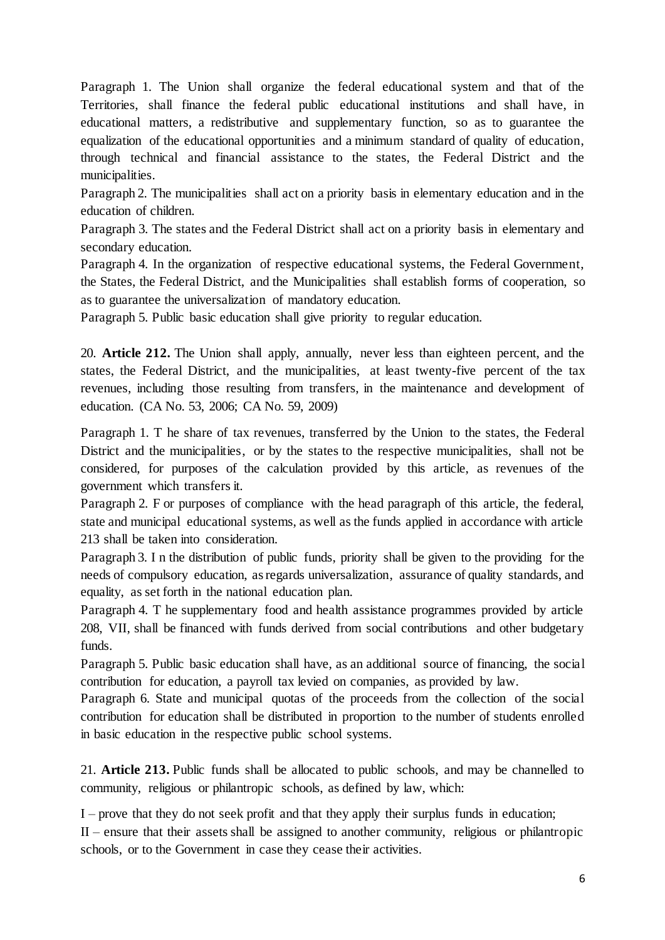Paragraph 1. The Union shall organize the federal educational system and that of the Territories, shall finance the federal public educational institutions and shall have, in educational matters, a redistributive and supplementary function, so as to guarantee the equalization of the educational opportunities and a minimum standard of quality of education, through technical and financial assistance to the states, the Federal District and the municipalities.

Paragraph 2. The municipalities shall act on a priority basis in elementary education and in the education of children.

Paragraph 3. The states and the Federal District shall act on a priority basis in elementary and secondary education.

Paragraph 4. In the organization of respective educational systems, the Federal Government, the States, the Federal District, and the Municipalities shall establish forms of cooperation, so as to guarantee the universalization of mandatory education.

Paragraph 5. Public basic education shall give priority to regular education.

20. **Article 212.** The Union shall apply, annually, never less than eighteen percent, and the states, the Federal District, and the municipalities, at least twenty-five percent of the tax revenues, including those resulting from transfers, in the maintenance and development of education. (CA No. 53, 2006; CA No. 59, 2009)

Paragraph 1. T he share of tax revenues, transferred by the Union to the states, the Federal District and the municipalities, or by the states to the respective municipalities, shall not be considered, for purposes of the calculation provided by this article, as revenues of the government which transfers it.

Paragraph 2. F or purposes of compliance with the head paragraph of this article, the federal, state and municipal educational systems, as well as the funds applied in accordance with article 213 shall be taken into consideration.

Paragraph 3. I n the distribution of public funds, priority shall be given to the providing for the needs of compulsory education, as regards universalization, assurance of quality standards, and equality, as set forth in the national education plan.

Paragraph 4. T he supplementary food and health assistance programmes provided by article 208, VII, shall be financed with funds derived from social contributions and other budgetary funds.

Paragraph 5. Public basic education shall have, as an additional source of financing, the social contribution for education, a payroll tax levied on companies, as provided by law.

Paragraph 6. State and municipal quotas of the proceeds from the collection of the social contribution for education shall be distributed in proportion to the number of students enrolled in basic education in the respective public school systems.

21. **Article 213.** Public funds shall be allocated to public schools, and may be channelled to community, religious or philantropic schools, as defined by law, which:

I – prove that they do not seek profit and that they apply their surplus funds in education;

II – ensure that their assets shall be assigned to another community, religious or philantropic schools, or to the Government in case they cease their activities.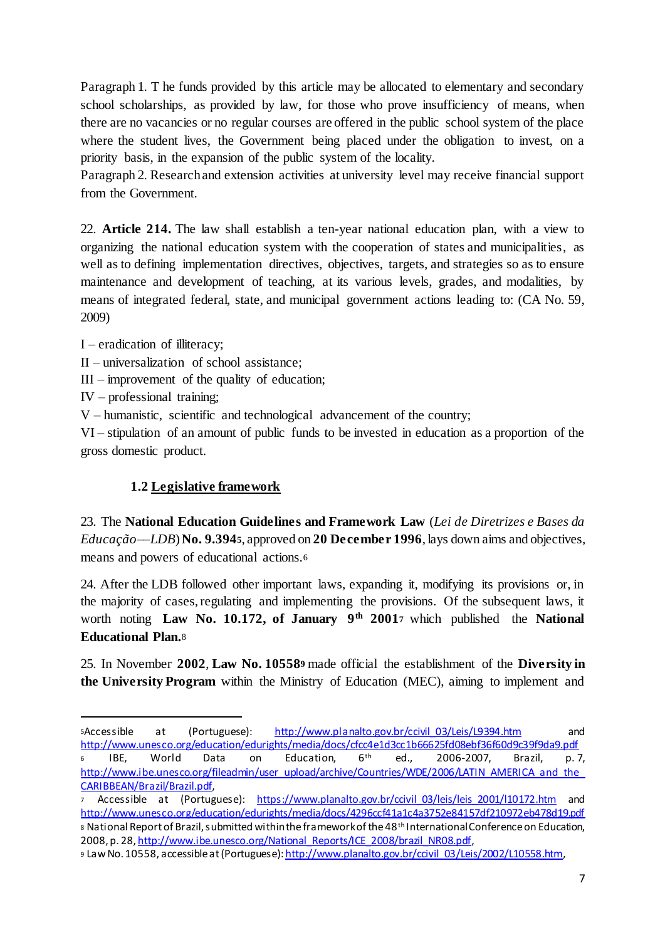Paragraph 1. T he funds provided by this article may be allocated to elementary and secondary school scholarships, as provided by law, for those who prove insufficiency of means, when there are no vacancies or no regular courses are offered in the public school system of the place where the student lives, the Government being placed under the obligation to invest, on a priority basis, in the expansion of the public system of the locality.

Paragraph 2. Research and extension activities at university level may receive financial support from the Government.

22. **Article 214.** The law shall establish a ten-year national education plan, with a view to organizing the national education system with the cooperation of states and municipalities, as well as to defining implementation directives, objectives, targets, and strategies so as to ensure maintenance and development of teaching, at its various levels, grades, and modalities, by means of integrated federal, state, and municipal government actions leading to: (CA No. 59, 2009)

I – eradication of illiteracy;

- II universalization of school assistance;
- III improvement of the quality of education;
- IV professional training;

 $\overline{a}$ 

V – humanistic, scientific and technological advancement of the country;

VI – stipulation of an amount of public funds to be invested in education as a proportion of the gross domestic product.

## **1.2 Legislative framework**

23. The **National Education Guidelines and Framework Law** (*Lei de Diretrizes e Bases da Educação––LDB*) **No. 9.3945**, approved on **20 December 1996**, lays down aims and objectives, means and powers of educational actions.<sup>6</sup>

24. After the LDB followed other important laws, expanding it, modifying its provisions or, in the majority of cases, regulating and implementing the provisions. Of the subsequent laws, it worth noting **Law No. 10.172, of January 9th 2001<sup>7</sup>** which published the **National Educational Plan.**<sup>8</sup>

25. In November **2002**, **Law No. 10558<sup>9</sup>** made official the establishment of the **Diversity in the University Program** within the Ministry of Education (MEC), aiming to implement and

<sup>5</sup>Accessible at (Portuguese): http://www.planalto.gov.br/ccivil\_03/Leis/L9394.htm and http://www.unesco.org/education/edurights/media/docs/cfcc4e1d3cc1b66625fd08ebf36f60d9c39f9da9.pdf  $6$  IBE, World Data on Education,  $6^{\text{th}}$  ed., 2006-2007, Brazil, p. 7, http://www.ibe.unesco.org/fileadmin/user\_upload/archive/Countries/WDE/2006/LATIN\_AMERICA\_and\_the CARIBBEAN/Brazil/Brazil.pdf,

Accessible at (Portuguese): https://www.planalto.gov.br/ccivil 03/leis/leis 2001/l10172.htm and http://www.unesco.org/education/edurights/media/docs/4296ccf41a1c4a3752e84157df210972eb478d19.pdf 8 National Report of Brazil, submitted within the framework of the 48<sup>th</sup> International Conference on Education, 2008, p. 28, http://www.ibe.unesco.org/National\_Reports/ICE\_2008/brazil\_NR08.pdf,

<sup>9</sup> Law No. 10558, accessible at (Portuguese): http://www.planalto.gov.br/ccivil\_03/Leis/2002/L10558.htm,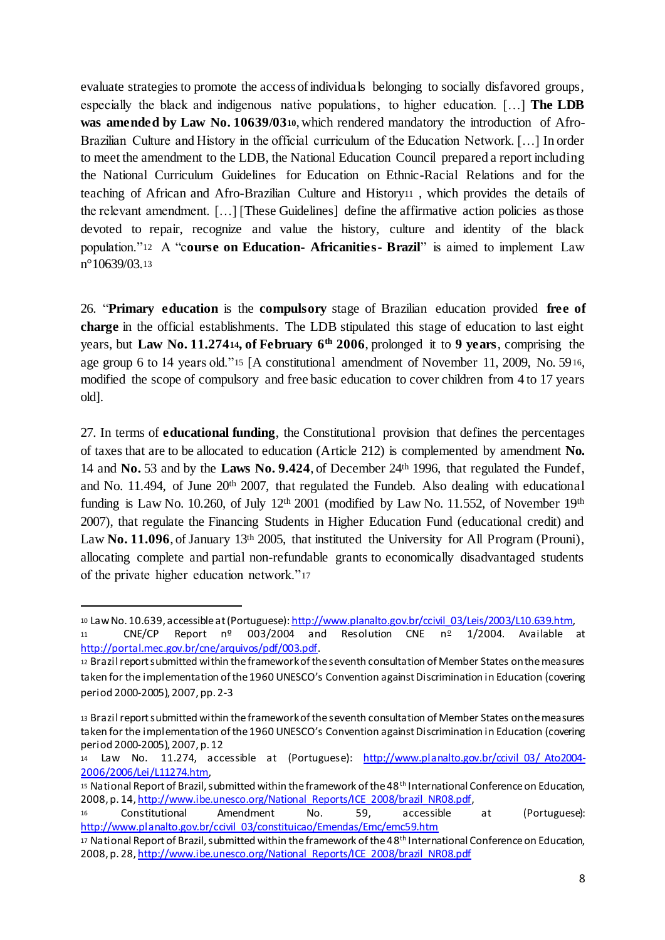evaluate strategies to promote the access of individuals belonging to socially disfavored groups, especially the black and indigenous native populations, to higher education. […] **The LDB was amended by Law No. 10639/0310**, which rendered mandatory the introduction of Afro-Brazilian Culture and History in the official curriculum of the Education Network. […] In order to meet the amendment to the LDB, the National Education Council prepared a report including the National Curriculum Guidelines for Education on Ethnic-Racial Relations and for the teaching of African and Afro-Brazilian Culture and History<sup>11</sup> , which provides the details of the relevant amendment. […] [These Guidelines] define the affirmative action policies as those devoted to repair, recognize and value the history, culture and identity of the black population."<sup>12</sup> A "c**ourse on Education- Africanities- Brazil**" is aimed to implement Law n°10639/03.<sup>13</sup>

26. "**Primary education** is the **compulsory** stage of Brazilian education provided **free of charge** in the official establishments. The LDB stipulated this stage of education to last eight years, but **Law No. 11.27414, of February 6th 2006**, prolonged it to **9 years**, comprising the age group 6 to 14 years old."<sup>15</sup> [A constitutional amendment of November 11, 2009, No. 5916, modified the scope of compulsory and free basic education to cover children from 4 to 17 years old].

27. In terms of **educational funding**, the Constitutional provision that defines the percentages of taxes that are to be allocated to education (Article 212) is complemented by amendment **No.**  14 and **No.** 53 and by the **Laws No. 9.424**, of December 24th 1996, that regulated the Fundef, and No. 11.494, of June 20<sup>th</sup> 2007, that regulated the Fundeb. Also dealing with educational funding is Law No. 10.260, of July  $12<sup>th</sup> 2001$  (modified by Law No. 11.552, of November 19<sup>th</sup> 2007), that regulate the Financing Students in Higher Education Fund (educational credit) and Law **No. 11.096**, of January 13<sup>th</sup> 2005, that instituted the University for All Program (Prouni), allocating complete and partial non-refundable grants to economically disadvantaged students of the private higher education network."<sup>17</sup>

<sup>10</sup> Law No. 10.639, accessible at (Portuguese): http://www.planalto.gov.br/ccivil\_03/Leis/2003/L10.639.htm, 11  $CNE/CP$  Report nº 003/2004 and Resolution CNE nº 1/2004. Available at http://portal.mec.gov.br/cne/arquivos/pdf/003.pdf.

<sup>12</sup> Brazil report submitted within the framework of the seventh consultation of Member States on the measures taken for the implementation of the 1960 UNESCO's Convention against Discrimination in Education (covering period 2000-2005), 2007, pp. 2-3

<sup>13</sup> Brazil report submitted within the framework of the seventh consultation of Member States on the measures taken for the implementation of the 1960 UNESCO's Convention against Discrimination in Education (covering period 2000-2005), 2007, p. 12

<sup>14</sup> Law No. 11.274, accessible at (Portuguese): http://www.planalto.gov.br/ccivil 03/ Ato2004-2006/2006/Lei/L11274.htm,

<sup>15</sup> National Report of Brazil, submitted within the framework of the 48th International Conference on Education, 2008, p. 14, http://www.ibe.unesco.org/National\_Reports/ICE\_2008/brazil\_NR08.pdf,

<sup>16</sup> Constitutional Amendment No. 59, accessible at (Portuguese): http://www.planalto.gov.br/ccivil\_03/constituicao/Emendas/Emc/emc59.htm

<sup>17</sup> National Report of Brazil, submitted within the framework of the 48<sup>th</sup> International Conference on Education, 2008, p. 28, http://www.ibe.unesco.org/National\_Reports/ICE\_2008/brazil\_NR08.pdf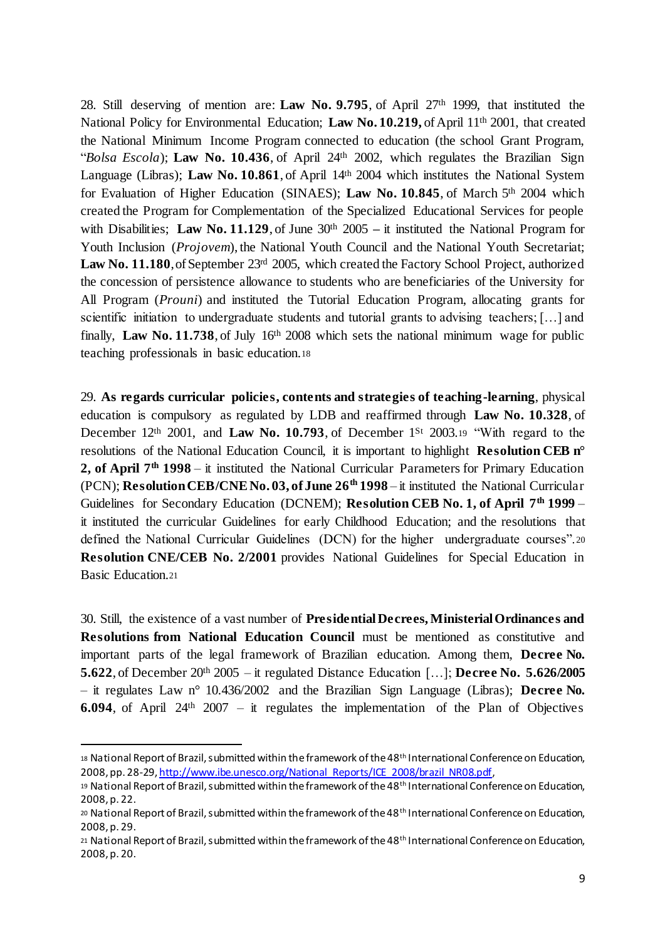28. Still deserving of mention are: **Law No. 9.795**, of April 27th 1999, that instituted the National Policy for Environmental Education; **Law No. 10.219,** of April 11th 2001, that created the National Minimum Income Program connected to education (the school Grant Program, "*Bolsa Escola*); **Law No. 10.436**, of April 24th 2002, which regulates the Brazilian Sign Language (Libras); **Law No. 10.861**, of April 14th 2004 which institutes the National System for Evaluation of Higher Education (SINAES); **Law No. 10.845**, of March 5th 2004 which created the Program for Complementation of the Specialized Educational Services for people with Disabilities; Law No. 11.129, of June 30<sup>th</sup> 2005 – it instituted the National Program for Youth Inclusion (*Projovem*), the National Youth Council and the National Youth Secretariat; Law No. 11.180, of September 23<sup>rd</sup> 2005, which created the Factory School Project, authorized the concession of persistence allowance to students who are beneficiaries of the University for All Program (*Prouni*) and instituted the Tutorial Education Program, allocating grants for scientific initiation to undergraduate students and tutorial grants to advising teachers; [...] and finally, Law No. 11.738, of July 16<sup>th</sup> 2008 which sets the national minimum wage for public teaching professionals in basic education.<sup>18</sup>

29. **As regards curricular policies, contents and strategies of teaching-learning**, physical education is compulsory as regulated by LDB and reaffirmed through **Law No. 10.328**, of December 12<sup>th</sup> 2001, and **Law No. 10.793**, of December 1<sup>St</sup> 2003.<sup>19</sup> "With regard to the resolutions of the National Education Council, it is important to highlight **Resolution CEB n° 2, of April 7th 1998** – it instituted the National Curricular Parameters for Primary Education (PCN); **Resolution CEB/CNE No. 03, of June 26th 1998** – it instituted the National Curricular Guidelines for Secondary Education (DCNEM); **Resolution CEB No. 1, of April 7th 1999** – it instituted the curricular Guidelines for early Childhood Education; and the resolutions that defined the National Curricular Guidelines (DCN) for the higher undergraduate courses". <sup>20</sup> **Resolution CNE/CEB No. 2/2001** provides National Guidelines for Special Education in Basic Education.<sup>21</sup>

30. Still, the existence of a vast number of **Presidential Decrees, Ministerial Ordinances and Resolutions from National Education Council** must be mentioned as constitutive and important parts of the legal framework of Brazilian education. Among them, **Decree No. 5.622**, of December 20th 2005 – it regulated Distance Education […]; **Decree No. 5.626/2005** – it regulates Law n° 10.436/2002 and the Brazilian Sign Language (Libras); **Decree No. 6.094**, of April 24th 2007 – it regulates the implementation of the Plan of Objectives

<sup>18</sup> National Report of Brazil, submitted within the framework of the 48th International Conference on Education, 2008, pp. 28-29, http://www.ibe.unesco.org/National\_Reports/ICE\_2008/brazil\_NR08.pdf,

<sup>19</sup> National Report of Brazil, submitted within the framework of the 48th International Conference on Education, 2008, p. 22.

<sup>20</sup> National Report of Brazil, submitted within the framework of the 48th International Conference on Education, 2008, p. 29.

<sup>21</sup> National Report of Brazil, submitted within the framework of the 48<sup>th</sup> International Conference on Education, 2008, p. 20.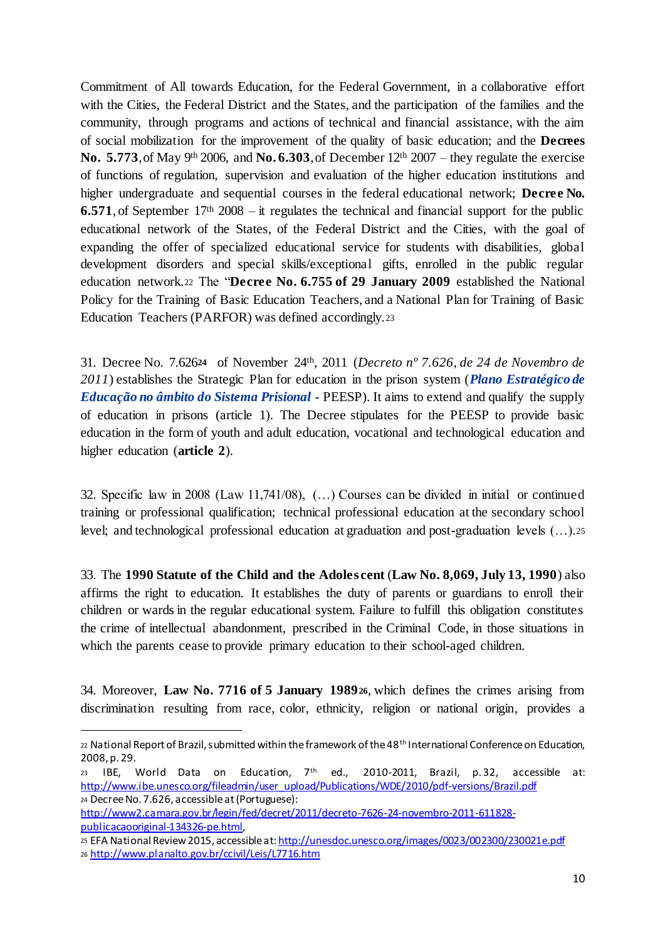Commitment of All towards Education, for the Federal Government, in a collaborative effort with the Cities, the Federal District and the States, and the participation of the families and the community, through programs and actions of technical and financial assistance, with the aim of social mobilization for the improvement of the quality of basic education; and the **Decrees No. 5.773**, of May 9<sup>th</sup> 2006, and **No. 6.303**, of December  $12<sup>th</sup>$  2007 – they regulate the exercise of functions of regulation, supervision and evaluation of the higher education institutions and higher undergraduate and sequential courses in the federal educational network; **Decree No. 6.571**, of September  $17<sup>th</sup>$  2008 – it regulates the technical and financial support for the public educational network of the States, of the Federal District and the Cities, with the goal of expanding the offer of specialized educational service for students with disabilities, global development disorders and special skills/exceptional gifts, enrolled in the public regular education network.<sup>22</sup> The "**Decree No. 6.755 of 29 January 2009** established the National Policy for the Training of Basic Education Teachers, and a National Plan for Training of Basic Education Teachers (PARFOR) was defined accordingly.<sup>23</sup>

31. Decree No. 7.626**<sup>24</sup>** of November 24th, 2011 (*Decreto nº 7.626, de 24 de Novembro de 2011*) establishes the Strategic Plan for education in the prison system (*Plano Estratégico de Educação no âmbito do Sistema Prisional* - PEESP). It aims to extend and qualify the supply of education in prisons (article 1). The Decree stipulates for the PEESP to provide basic education in the form of youth and adult education, vocational and technological education and higher education (**article 2**).

32. Specific law in 2008 (Law 11,741/08), (…) Courses can be divided in initial or continued training or professional qualification; technical professional education at the secondary school level; and technological professional education at graduation and post-graduation levels (…).<sup>25</sup>

33. The **1990 Statute of the Child and the Adoles cent** (**Law No. 8,069, July 13, 1990**) also affirms the right to education. It establishes the duty of parents or guardians to enroll their children or wards in the regular educational system. Failure to fulfill this obligation constitutes the crime of intellectual abandonment, prescribed in the Criminal Code, in those situations in which the parents cease to provide primary education to their school-aged children.

34. Moreover, **Law No. 7716 of 5 January 198926**, which defines the crimes arising from discrimination resulting from race, color, ethnicity, religion or national origin, provides a

<sup>22</sup> National Report of Brazil, submitted within the framework of the 48<sup>th</sup> International Conference on Education, 2008, p. 29.

<sup>23</sup> IBE, World Data on Education, 7<sup>th</sup> ed., 2010-2011, Brazil, p.32, accessible at: http://www.ibe.unesco.org/fileadmin/user\_upload/Publications/WDE/2010/pdf-versions/Brazil.pdf 24 Decree No. 7.626, accessible at (Portuguese):

http://www2.camara.gov.br/legin/fed/decret/2011/decreto-7626-24-novembro-2011-611828 publicacaooriginal-134326-pe.html,

<sup>25</sup> EFA National Review 2015, accessible at: http://unesdoc.unesco.org/images/0023/002300/230021e.pdf

<sup>26</sup> http://www.planalto.gov.br/ccivil/Leis/L7716.htm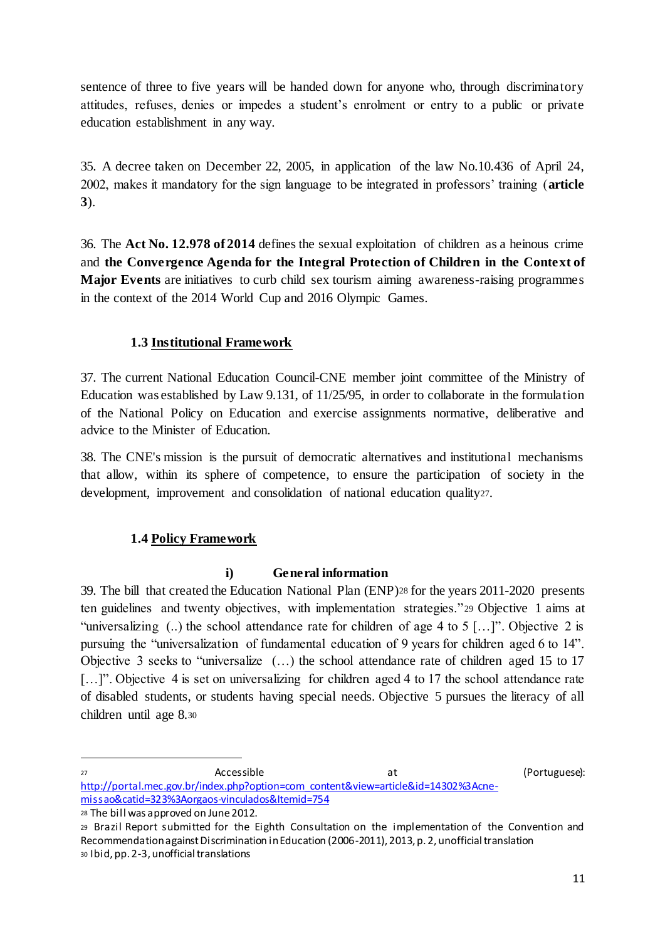sentence of three to five years will be handed down for anyone who, through discriminatory attitudes, refuses, denies or impedes a student's enrolment or entry to a public or private education establishment in any way.

35. A decree taken on December 22, 2005, in application of the law No.10.436 of April 24, 2002, makes it mandatory for the sign language to be integrated in professors' training (**article 3**).

36. The **Act No. 12.978 of 2014** defines the sexual exploitation of children as a heinous crime and **the Convergence Agenda for the Integral Protection of Children in the Context of Major Events** are initiatives to curb child sex tourism aiming awareness-raising programmes in the context of the 2014 World Cup and 2016 Olympic Games.

## **1.3 Institutional Framework**

37. The current National Education Council-CNE member joint committee of the Ministry of Education was established by Law 9.131, of 11/25/95, in order to collaborate in the formulation of the National Policy on Education and exercise assignments normative, deliberative and advice to the Minister of Education.

38. The CNE's mission is the pursuit of democratic alternatives and institutional mechanisms that allow, within its sphere of competence, to ensure the participation of society in the development, improvement and consolidation of national education quality27.

## **1.4 Policy Framework**

## **i) General information**

39. The bill that created the Education National Plan (ENP)<sup>28</sup> for the years 2011-2020 presents ten guidelines and twenty objectives, with implementation strategies."<sup>29</sup> Objective 1 aims at "universalizing (..) the school attendance rate for children of age 4 to 5 […]". Objective 2 is pursuing the "universalization of fundamental education of 9 years for children aged 6 to 14". Objective 3 seeks to "universalize (…) the school attendance rate of children aged 15 to 17 [...]". Objective 4 is set on universalizing for children aged 4 to 17 the school attendance rate of disabled students, or students having special needs. Objective 5 pursues the literacy of all children until age 8.<sup>30</sup>

<sup>27</sup> Accessible at (Portuguese): http://portal.mec.gov.br/index.php?option=com\_content&view=article&id=14302%3Acnemissao&catid=323%3Aorgaos-vinculados&Itemid=754

<sup>28</sup> The bill was approved on June 2012.

<sup>29</sup> Brazil Report submitted for the Eighth Consultation on the implementation of the Convention and Recommendation against Discrimination in Education (2006-2011), 2013, p. 2, unofficial translation <sup>30</sup> Ibid, pp. 2-3, unofficial translations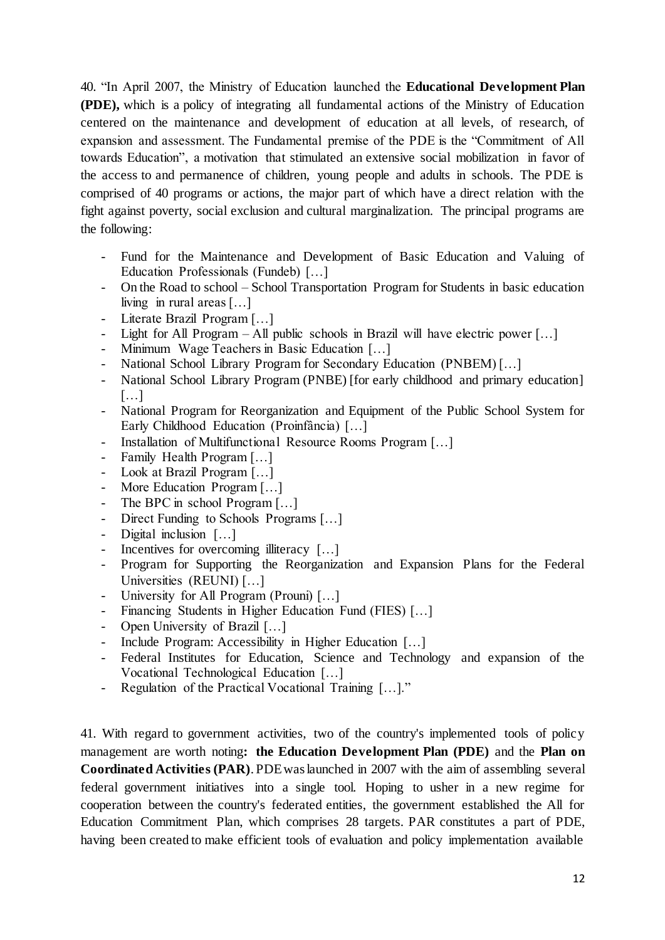40. "In April 2007, the Ministry of Education launched the **Educational Development Plan (PDE),** which is a policy of integrating all fundamental actions of the Ministry of Education centered on the maintenance and development of education at all levels, of research, of expansion and assessment. The Fundamental premise of the PDE is the "Commitment of All towards Education", a motivation that stimulated an extensive social mobilization in favor of the access to and permanence of children, young people and adults in schools. The PDE is comprised of 40 programs or actions, the major part of which have a direct relation with the fight against poverty, social exclusion and cultural marginalization. The principal programs are the following:

- Fund for the Maintenance and Development of Basic Education and Valuing of Education Professionals (Fundeb) […]
- On the Road to school School Transportation Program for Students in basic education living in rural areas […]
- Literate Brazil Program […]
- Light for All Program All public schools in Brazil will have electric power [...]
- Minimum Wage Teachers in Basic Education [...]
- National School Library Program for Secondary Education (PNBEM) […]
- National School Library Program (PNBE) [for early childhood and primary education] […]
- National Program for Reorganization and Equipment of the Public School System for Early Childhood Education (Proinfância) […]
- Installation of Multifunctional Resource Rooms Program […]
- Family Health Program [...]
- Look at Brazil Program […]
- More Education Program [...]
- The BPC in school Program [...]
- Direct Funding to Schools Programs […]
- Digital inclusion [...]
- Incentives for overcoming illiteracy [...]
- Program for Supporting the Reorganization and Expansion Plans for the Federal Universities (REUNI) […]
- University for All Program (Prouni) […]
- Financing Students in Higher Education Fund (FIES) […]
- Open University of Brazil [...]
- Include Program: Accessibility in Higher Education […]
- Federal Institutes for Education, Science and Technology and expansion of the Vocational Technological Education […]
- Regulation of the Practical Vocational Training […]."

41. With regard to government activities, two of the country's implemented tools of policy management are worth noting**: the Education Development Plan (PDE)** and the **Plan on Coordinated Activities (PAR)**. PDE was launched in 2007 with the aim of assembling several federal government initiatives into a single tool. Hoping to usher in a new regime for cooperation between the country's federated entities, the government established the All for Education Commitment Plan, which comprises 28 targets. PAR constitutes a part of PDE, having been created to make efficient tools of evaluation and policy implementation available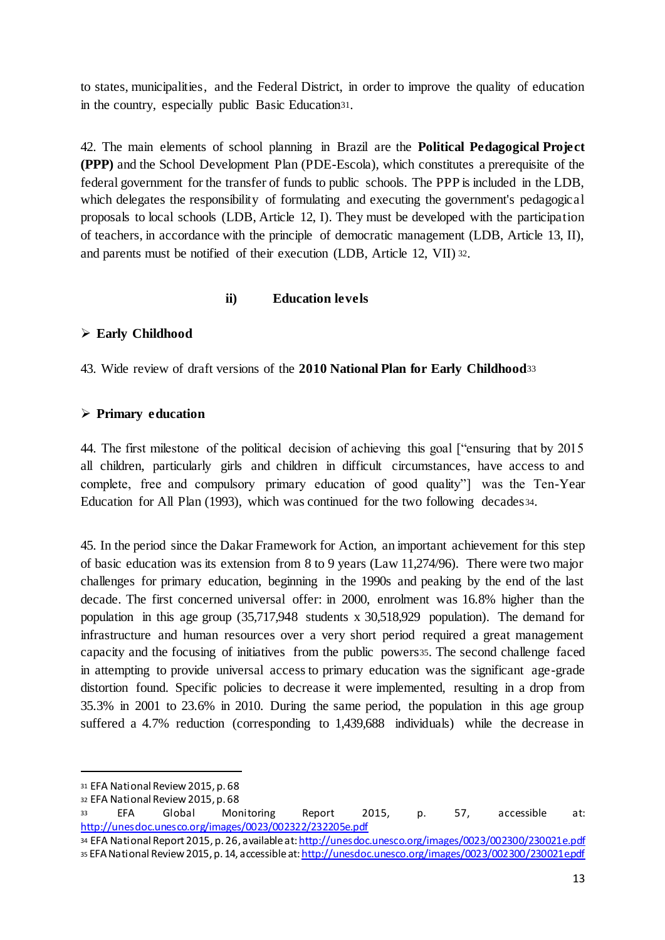to states, municipalities, and the Federal District, in order to improve the quality of education in the country, especially public Basic Education31.

42. The main elements of school planning in Brazil are the **Political Pedagogical Project (PPP)** and the School Development Plan (PDE-Escola), which constitutes a prerequisite of the federal government for the transfer of funds to public schools. The PPP is included in the LDB, which delegates the responsibility of formulating and executing the government's pedagogical proposals to local schools (LDB, Article 12, I). They must be developed with the participation of teachers, in accordance with the principle of democratic management (LDB, Article 13, II), and parents must be notified of their execution (LDB, Article 12, VII) <sup>32</sup>.

#### **ii)****Education levels**

### **Early Childhood**

43. Wide review of draft versions of the **2010 National Plan for Early Childhood**<sup>33</sup>

#### **Primary education**

44. The first milestone of the political decision of achieving this goal ["ensuring that by 2015 all children, particularly girls and children in difficult circumstances, have access to and complete, free and compulsory primary education of good quality"] was the Ten-Year Education for All Plan (1993), which was continued for the two following decades34.

45. In the period since the Dakar Framework for Action, an important achievement for this step of basic education was its extension from 8 to 9 years (Law 11,274/96). There were two major challenges for primary education, beginning in the 1990s and peaking by the end of the last decade. The first concerned universal offer: in 2000, enrolment was 16.8% higher than the population in this age group (35,717,948 students x 30,518,929 population). The demand for infrastructure and human resources over a very short period required a great management capacity and the focusing of initiatives from the public powers35. The second challenge faced in attempting to provide universal access to primary education was the significant age-grade distortion found. Specific policies to decrease it were implemented, resulting in a drop from 35.3% in 2001 to 23.6% in 2010. During the same period, the population in this age group suffered a 4.7% reduction (corresponding to 1,439,688 individuals) while the decrease in

<sup>31</sup> EFA National Review 2015, p. 68

<sup>32</sup> EFA National Review 2015, p. 68

<sup>33</sup> EFA Global Monitoring Report 2015, p. 57, accessible at: http://unesdoc.unesco.org/images/0023/002322/232205e.pdf

<sup>34</sup> EFA National Report 2015, p. 26, available at: http://unesdoc.unesco.org/images/0023/002300/230021e.pdf 35 EFA National Review 2015, p. 14, accessible at: http://unesdoc.unesco.org/images/0023/002300/230021epdf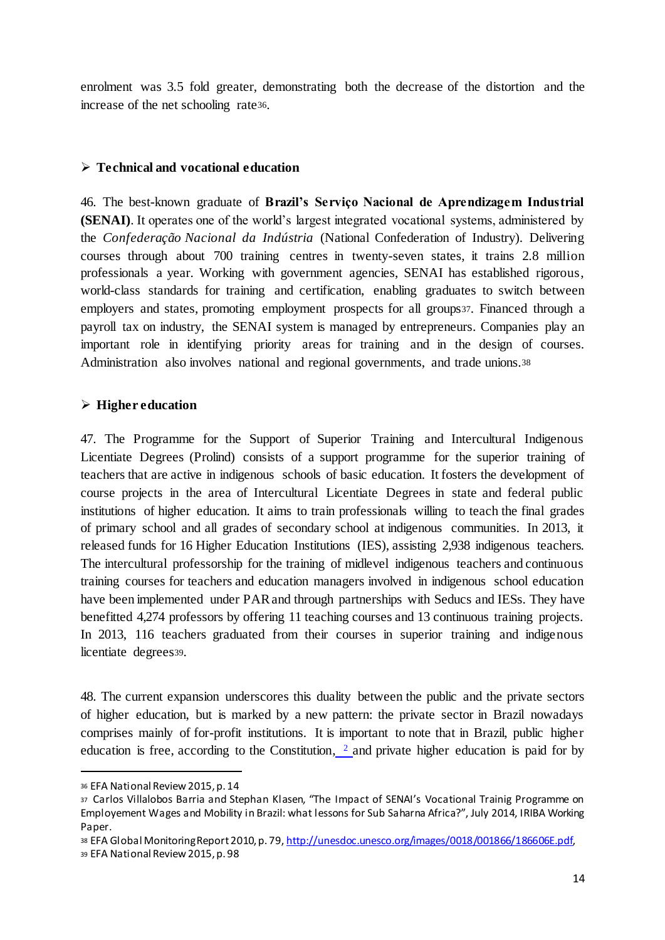enrolment was 3.5 fold greater, demonstrating both the decrease of the distortion and the increase of the net schooling rate36.

#### **Technical and vocational education**

46. The best-known graduate of **Brazil's Serviço Nacional de Aprendizagem Industrial (SENAI)**. It operates one of the world's largest integrated vocational systems, administered by the *Confederação Nacional da Indústria* (National Confederation of Industry). Delivering courses through about 700 training centres in twenty-seven states, it trains 2.8 million professionals a year. Working with government agencies, SENAI has established rigorous, world-class standards for training and certification, enabling graduates to switch between employers and states, promoting employment prospects for all groups37. Financed through a payroll tax on industry, the SENAI system is managed by entrepreneurs. Companies play an important role in identifying priority areas for training and in the design of courses. Administration also involves national and regional governments, and trade unions.<sup>38</sup>

#### **Higher education**

47. The Programme for the Support of Superior Training and Intercultural Indigenous Licentiate Degrees (Prolind) consists of a support programme for the superior training of teachers that are active in indigenous schools of basic education. It fosters the development of course projects in the area of Intercultural Licentiate Degrees in state and federal public institutions of higher education. It aims to train professionals willing to teach the final grades of primary school and all grades of secondary school at indigenous communities. In 2013, it released funds for 16 Higher Education Institutions (IES), assisting 2,938 indigenous teachers. The intercultural professorship for the training of midlevel indigenous teachers and continuous training courses for teachers and education managers involved in indigenous school education have been implemented under PAR and through partnerships with Seducs and IESs. They have benefitted 4,274 professors by offering 11 teaching courses and 13 continuous training projects. In 2013, 116 teachers graduated from their courses in superior training and indigenous licentiate degrees39.

48. The current expansion underscores this duality between the public and the private sectors of higher education, but is marked by a new pattern: the private sector in Brazil nowadays comprises mainly of for-profit institutions. It is important to note that in Brazil, public higher education is free, according to the Constitution,  $\frac{2}{3}$  and private higher education is paid for by

<sup>36</sup> EFA National Review 2015, p. 14

<sup>37</sup> Carlos Villalobos Barria and Stephan Klasen, "The Impact of SENAI's Vocational Trainig Programme on Employement Wages and Mobility in Brazil: what lessons for Sub Saharna Africa?", July 2014, IRIBA Working Paper.

<sup>38</sup> EFA Global Monitoring Report 2010, p. 79, http://unesdoc.unesco.org/images/0018/001866/186606E.pdf,

<sup>39</sup> EFA National Review 2015, p. 98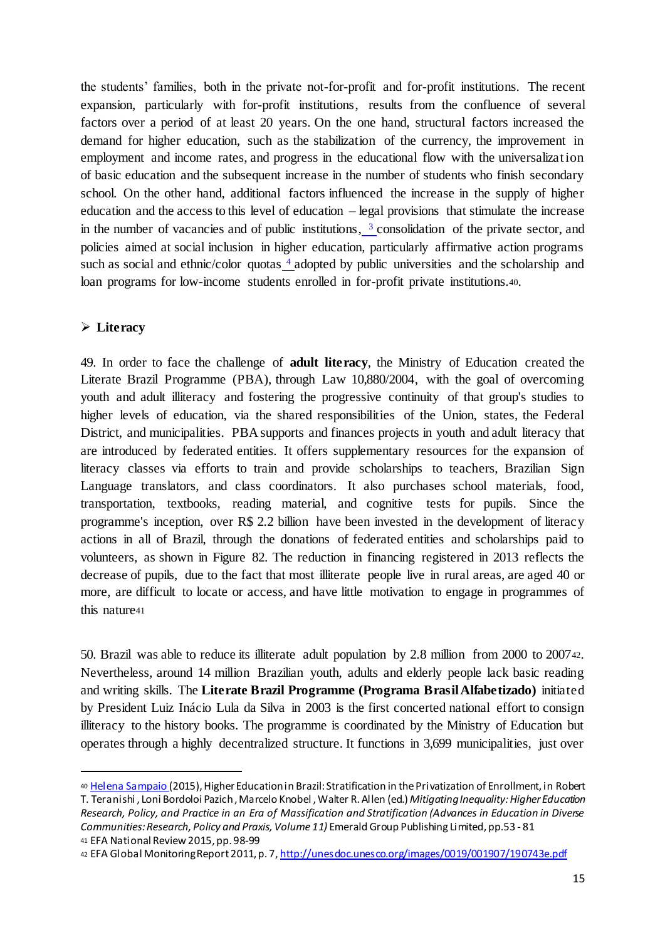the students' families, both in the private not-for-profit and for-profit institutions. The recent expansion, particularly with for-profit institutions, results from the confluence of several factors over a period of at least 20 years. On the one hand, structural factors increased the demand for higher education, such as the stabilization of the currency, the improvement in employment and income rates, and progress in the educational flow with the universalization of basic education and the subsequent increase in the number of students who finish secondary school. On the other hand, additional factors influenced the increase in the supply of higher education and the access to this level of education – legal provisions that stimulate the increase in the number of vacancies and of public institutions,  $\frac{3}{2}$  consolidation of the private sector, and policies aimed at social inclusion in higher education, particularly affirmative action programs such as social and ethnic/color quotas  $4$  adopted by public universities and the scholarship and loan programs for low-income students enrolled in for-profit private institutions.40.

#### **Literacy**

 $\overline{a}$ 

49. In order to face the challenge of **adult literacy**, the Ministry of Education created the Literate Brazil Programme (PBA), through Law 10,880/2004, with the goal of overcoming youth and adult illiteracy and fostering the progressive continuity of that group's studies to higher levels of education, via the shared responsibilities of the Union, states, the Federal District, and municipalities. PBA supports and finances projects in youth and adult literacy that are introduced by federated entities. It offers supplementary resources for the expansion of literacy classes via efforts to train and provide scholarships to teachers, Brazilian Sign Language translators, and class coordinators. It also purchases school materials, food, transportation, textbooks, reading material, and cognitive tests for pupils. Since the programme's inception, over R\$ 2.2 billion have been invested in the development of literacy actions in all of Brazil, through the donations of federated entities and scholarships paid to volunteers, as shown in Figure 82. The reduction in financing registered in 2013 reflects the decrease of pupils, due to the fact that most illiterate people live in rural areas, are aged 40 or more, are difficult to locate or access, and have little motivation to engage in programmes of this nature41

50. Brazil was able to reduce its illiterate adult population by 2.8 million from 2000 to 200742. Nevertheless, around 14 million Brazilian youth, adults and elderly people lack basic reading and writing skills. The **Literate Brazil Programme (Programa Brasil Alfabetizado)** initiated by President Luiz Inácio Lula da Silva in 2003 is the first concerted national effort to consign illiteracy to the history books. The programme is coordinated by the Ministry of Education but operates through a highly decentralized structure. It functions in 3,699 municipalities, just over

<sup>40</sup> Helena Sampaio (2015), Higher Education in Brazil: Stratification in the Privatization of Enrollment, in Robert T. Teranishi , Loni Bordoloi Pazich , Marcelo Knobel , Walter R. Allen (ed.) *Mitigating Inequality: Higher Education Research, Policy, and Practice in an Era of Massification and Stratification (Advances in Education in Diverse Communities: Research, Policy and Praxis, Volume 11)* Emerald Group Publishing Limited, pp.53 - 81 <sup>41</sup> EFA National Review 2015, pp. 98-99

<sup>42</sup> EFA Global Monitoring Report 2011, p. 7, http://unesdoc.unesco.org/images/0019/001907/190743e.pdf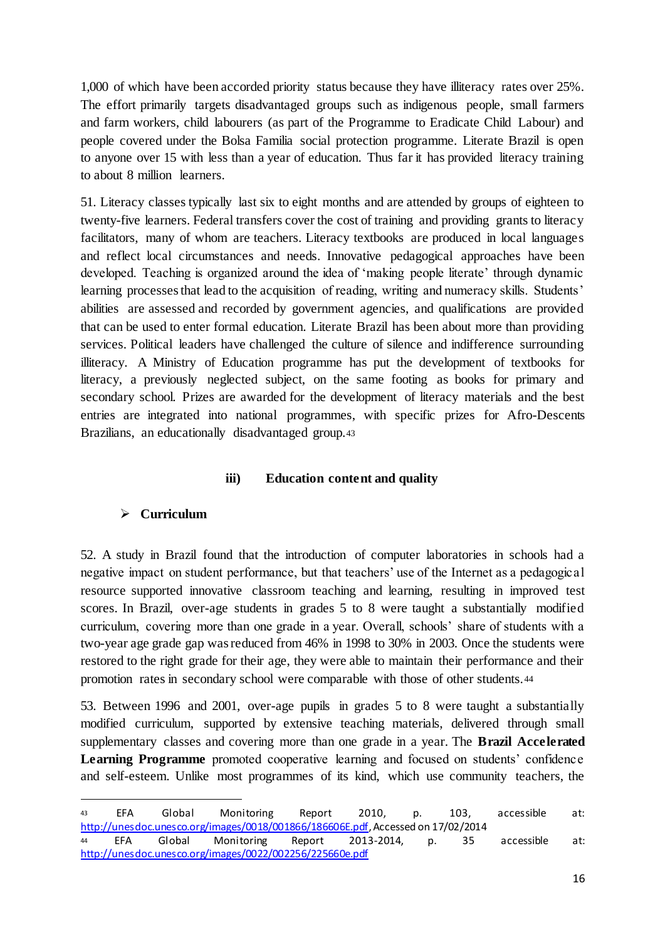1,000 of which have been accorded priority status because they have illiteracy rates over 25%. The effort primarily targets disadvantaged groups such as indigenous people, small farmers and farm workers, child labourers (as part of the Programme to Eradicate Child Labour) and people covered under the Bolsa Familia social protection programme. Literate Brazil is open to anyone over 15 with less than a year of education. Thus far it has provided literacy training to about 8 million learners.

51. Literacy classes typically last six to eight months and are attended by groups of eighteen to twenty-five learners. Federal transfers cover the cost of training and providing grants to literacy facilitators, many of whom are teachers. Literacy textbooks are produced in local languages and reflect local circumstances and needs. Innovative pedagogical approaches have been developed. Teaching is organized around the idea of 'making people literate' through dynamic learning processes that lead to the acquisition of reading, writing and numeracy skills. Students' abilities are assessed and recorded by government agencies, and qualifications are provided that can be used to enter formal education. Literate Brazil has been about more than providing services. Political leaders have challenged the culture of silence and indifference surrounding illiteracy. A Ministry of Education programme has put the development of textbooks for literacy, a previously neglected subject, on the same footing as books for primary and secondary school. Prizes are awarded for the development of literacy materials and the best entries are integrated into national programmes, with specific prizes for Afro-Descents Brazilians, an educationally disadvantaged group.<sup>43</sup>

#### **iii) Education content and quality**

#### **Curriculum**

 $\overline{a}$ 

52. A study in Brazil found that the introduction of computer laboratories in schools had a negative impact on student performance, but that teachers' use of the Internet as a pedagogical resource supported innovative classroom teaching and learning, resulting in improved test scores. In Brazil, over-age students in grades 5 to 8 were taught a substantially modified curriculum, covering more than one grade in a year. Overall, schools' share of students with a two-year age grade gap was reduced from 46% in 1998 to 30% in 2003. Once the students were restored to the right grade for their age, they were able to maintain their performance and their promotion rates in secondary school were comparable with those of other students.<sup>44</sup>

53. Between 1996 and 2001, over-age pupils in grades 5 to 8 were taught a substantially modified curriculum, supported by extensive teaching materials, delivered through small supplementary classes and covering more than one grade in a year. The **Brazil Accelerated Learning Programme** promoted cooperative learning and focused on students' confidence and self-esteem. Unlike most programmes of its kind, which use community teachers, the

<sup>43</sup> EFA Global Monitoring Report 2010, p. 103, accessible at: http://unesdoc.unesco.org/images/0018/001866/186606E.pdf, Accessed on 17/02/2014<br>44 EFA Global Monitoring Report 2013-2014, p. 35

<sup>44</sup> EFA Global Monitoring Report 2013-2014, p. 35 accessible at: http://unesdoc.unesco.org/images/0022/002256/225660e.pdf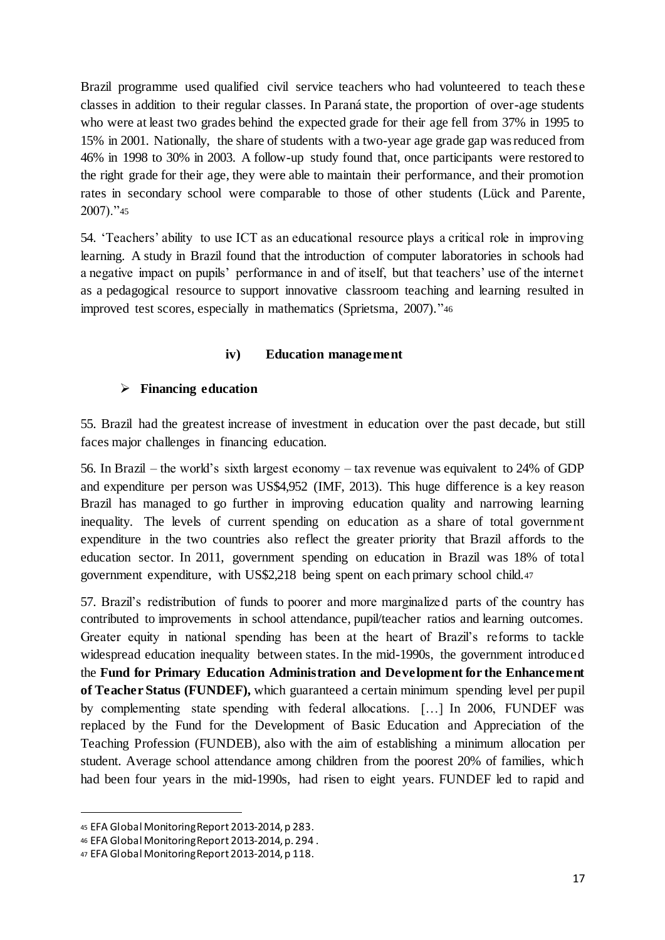Brazil programme used qualified civil service teachers who had volunteered to teach these classes in addition to their regular classes. In Paraná state, the proportion of over-age students who were at least two grades behind the expected grade for their age fell from 37% in 1995 to 15% in 2001. Nationally, the share of students with a two-year age grade gap was reduced from 46% in 1998 to 30% in 2003. A follow-up study found that, once participants were restored to the right grade for their age, they were able to maintain their performance, and their promotion rates in secondary school were comparable to those of other students (Lück and Parente, 2007)."<sup>45</sup>

54. 'Teachers' ability to use ICT as an educational resource plays a critical role in improving learning. A study in Brazil found that the introduction of computer laboratories in schools had a negative impact on pupils' performance in and of itself, but that teachers' use of the internet as a pedagogical resource to support innovative classroom teaching and learning resulted in improved test scores, especially in mathematics (Sprietsma, 2007)."<sup>46</sup>

#### **iv) Education management**

#### **Financing education**

55. Brazil had the greatest increase of investment in education over the past decade, but still faces major challenges in financing education.

56. In Brazil – the world's sixth largest economy – tax revenue was equivalent to 24% of GDP and expenditure per person was US\$4,952 (IMF, 2013). This huge difference is a key reason Brazil has managed to go further in improving education quality and narrowing learning inequality. The levels of current spending on education as a share of total government expenditure in the two countries also reflect the greater priority that Brazil affords to the education sector. In 2011, government spending on education in Brazil was 18% of total government expenditure, with US\$2,218 being spent on each primary school child.<sup>47</sup>

57. Brazil's redistribution of funds to poorer and more marginalized parts of the country has contributed to improvements in school attendance, pupil/teacher ratios and learning outcomes. Greater equity in national spending has been at the heart of Brazil's reforms to tackle widespread education inequality between states. In the mid-1990s, the government introduced the **Fund for Primary Education Administration and Development for the Enhancement of Teacher Status (FUNDEF),** which guaranteed a certain minimum spending level per pupil by complementing state spending with federal allocations. […] In 2006, FUNDEF was replaced by the Fund for the Development of Basic Education and Appreciation of the Teaching Profession (FUNDEB), also with the aim of establishing a minimum allocation per student. Average school attendance among children from the poorest 20% of families, which had been four years in the mid-1990s, had risen to eight years. FUNDEF led to rapid and

<sup>45</sup> EFA Global Monitoring Report 2013-2014, p 283.

<sup>46</sup> EFA Global Monitoring Report 2013-2014, p. 294 .

<sup>47</sup> EFA Global Monitoring Report 2013-2014, p 118.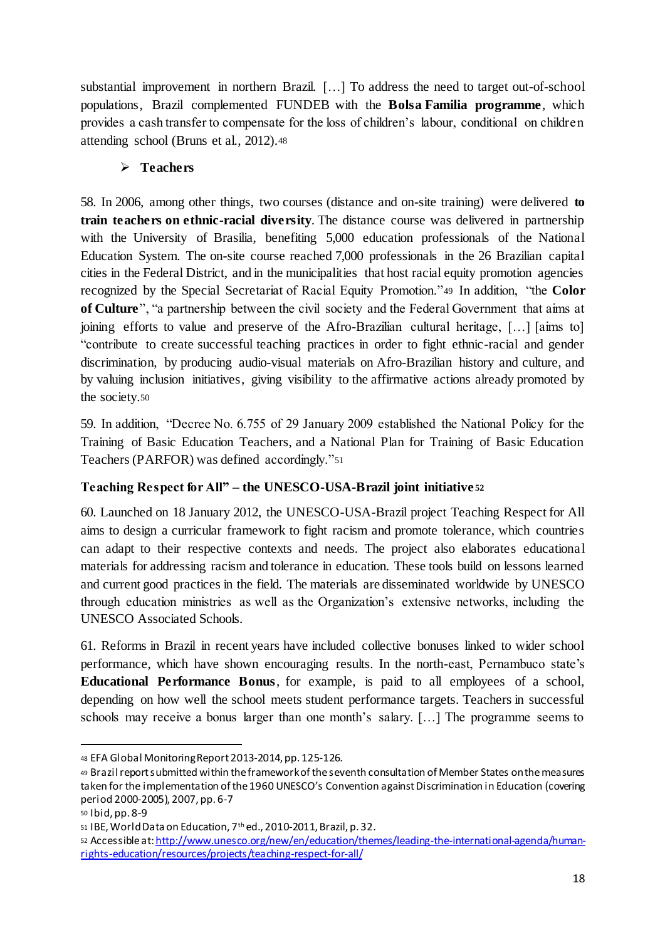substantial improvement in northern Brazil. […] To address the need to target out-of-school populations, Brazil complemented FUNDEB with the **Bolsa Familia programme**, which provides a cash transfer to compensate for the loss of children's labour, conditional on children attending school (Bruns et al., 2012).<sup>48</sup>

# **Teachers**

58. In 2006, among other things, two courses (distance and on-site training) were delivered **to train teachers on ethnic-racial diversity**. The distance course was delivered in partnership with the University of Brasilia, benefiting 5,000 education professionals of the National Education System. The on-site course reached 7,000 professionals in the 26 Brazilian capital cities in the Federal District, and in the municipalities that host racial equity promotion agencies recognized by the Special Secretariat of Racial Equity Promotion."<sup>49</sup> In addition, "the **Color of Culture**", "a partnership between the civil society and the Federal Government that aims at joining efforts to value and preserve of the Afro-Brazilian cultural heritage, […] [aims to] "contribute to create successful teaching practices in order to fight ethnic-racial and gender discrimination, by producing audio-visual materials on Afro-Brazilian history and culture, and by valuing inclusion initiatives, giving visibility to the affirmative actions already promoted by the society.<sup>50</sup>

59. In addition, "Decree No. 6.755 of 29 January 2009 established the National Policy for the Training of Basic Education Teachers, and a National Plan for Training of Basic Education Teachers (PARFOR) was defined accordingly."<sup>51</sup>

## **Teaching Respect for All" – the UNESCO-USA-Brazil joint initiative <sup>52</sup>**

60. Launched on 18 January 2012, the UNESCO-USA-Brazil project Teaching Respect for All aims to design a curricular framework to fight racism and promote tolerance, which countries can adapt to their respective contexts and needs. The project also elaborates educational materials for addressing racism and tolerance in education. These tools build on lessons learned and current good practices in the field. The materials are disseminated worldwide by UNESCO through education ministries as well as the Organization's extensive networks, including the UNESCO Associated Schools.

61. Reforms in Brazil in recent years have included collective bonuses linked to wider school performance, which have shown encouraging results. In the north-east, Pernambuco state's **Educational Performance Bonus**, for example, is paid to all employees of a school, depending on how well the school meets student performance targets. Teachers in successful schools may receive a bonus larger than one month's salary. […] The programme seems to

 $\overline{a}$ <sup>48</sup> EFA Global Monitoring Report 2013-2014, pp. 125-126.

<sup>49</sup> Brazil report submitted within the framework of the seventh consultation of Member States on the measures taken for the implementation of the 1960 UNESCO's Convention against Discrimination in Education (covering period 2000-2005), 2007, pp. 6-7

<sup>50</sup> Ibid, pp. 8-9

<sup>51</sup> IBE, World Data on Education, 7th ed., 2010-2011, Brazil, p. 32.

<sup>52</sup> Accessible at: http://www.unesco.org/new/en/education/themes/leading-the-international-agenda/humanrights-education/resources/projects/teaching-respect-for-all/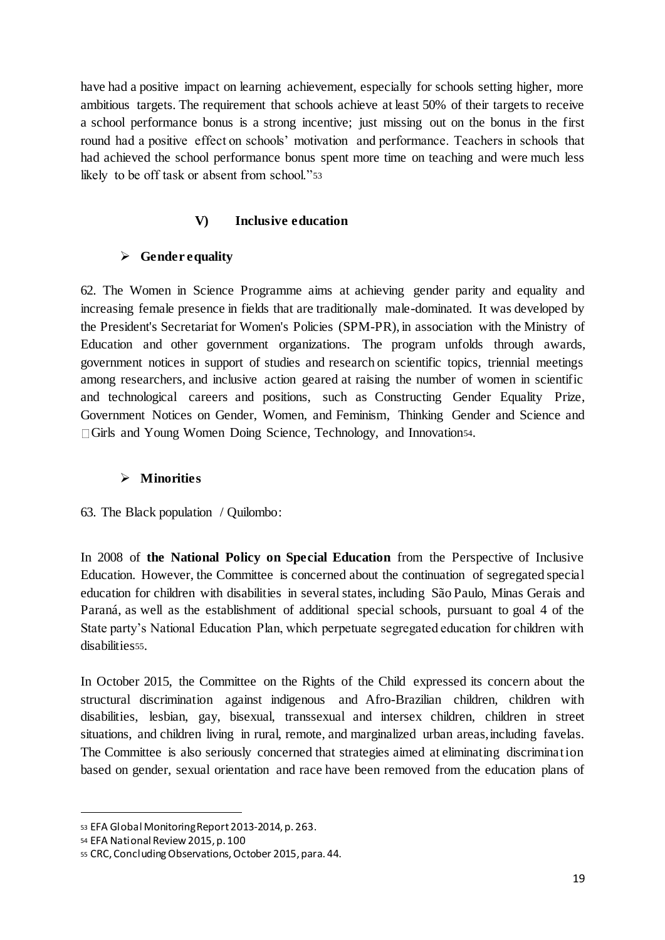have had a positive impact on learning achievement, especially for schools setting higher, more ambitious targets. The requirement that schools achieve at least 50% of their targets to receive a school performance bonus is a strong incentive; just missing out on the bonus in the first round had a positive effect on schools' motivation and performance. Teachers in schools that had achieved the school performance bonus spent more time on teaching and were much less likely to be off task or absent from school."53

### **V) Inclusive education**

#### **Gender equality**

62. The Women in Science Programme aims at achieving gender parity and equality and increasing female presence in fields that are traditionally male-dominated. It was developed by the President's Secretariat for Women's Policies (SPM-PR), in association with the Ministry of Education and other government organizations. The program unfolds through awards, government notices in support of studies and research on scientific topics, triennial meetings among researchers, and inclusive action geared at raising the number of women in scientific and technological careers and positions, such as Constructing Gender Equality Prize, Government Notices on Gender, Women, and Feminism, Thinking Gender and Science and □ Girls and Young Women Doing Science, Technology, and Innovation54.

## **Minorities**

63. The Black population / Quilombo:

In 2008 of **the National Policy on Special Education** from the Perspective of Inclusive Education. However, the Committee is concerned about the continuation of segregated special education for children with disabilities in several states, including São Paulo, Minas Gerais and Paraná, as well as the establishment of additional special schools, pursuant to goal 4 of the State party's National Education Plan, which perpetuate segregated education for children with disabilities<sub>55</sub>.

In October 2015, the Committee on the Rights of the Child expressed its concern about the structural discrimination against indigenous and Afro-Brazilian children, children with disabilities, lesbian, gay, bisexual, transsexual and intersex children, children in street situations, and children living in rural, remote, and marginalized urban areas, including favelas. The Committee is also seriously concerned that strategies aimed at eliminating discrimination based on gender, sexual orientation and race have been removed from the education plans of

<sup>53</sup> EFA Global Monitoring Report 2013-2014, p. 263.

<sup>54</sup> EFA National Review 2015, p. 100

<sup>55</sup> CRC, Concluding Observations, October 2015, para. 44.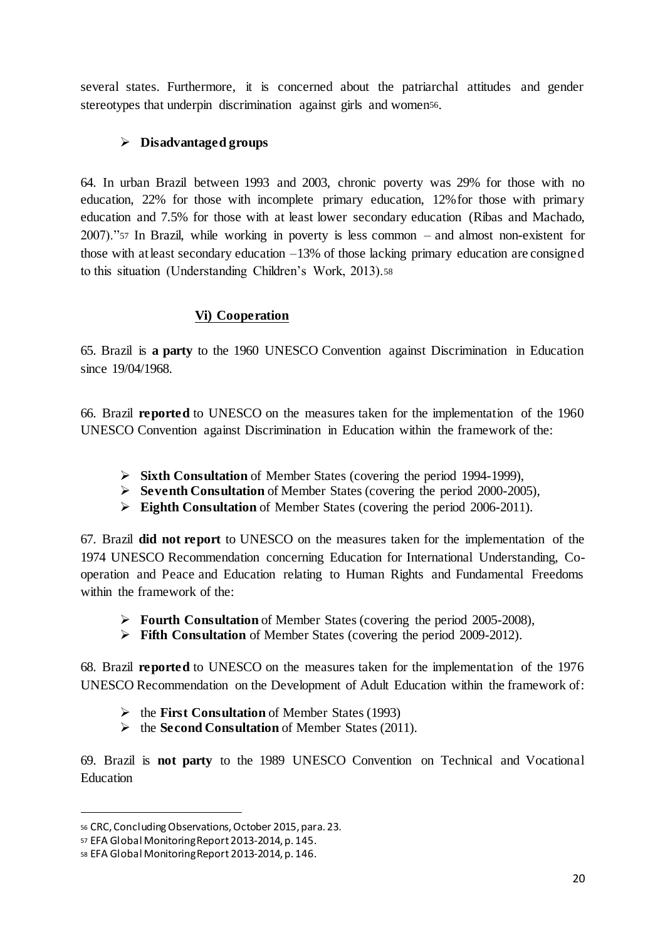several states. Furthermore, it is concerned about the patriarchal attitudes and gender stereotypes that underpin discrimination against girls and women<sup>56</sup>.

## **Disadvantaged groups**

64. In urban Brazil between 1993 and 2003, chronic poverty was 29% for those with no education, 22% for those with incomplete primary education, 12% for those with primary education and 7.5% for those with at least lower secondary education (Ribas and Machado, 2007)."<sup>57</sup> In Brazil, while working in poverty is less common – and almost non-existent for those with at least secondary education –13% of those lacking primary education are consigned to this situation (Understanding Children's Work, 2013).<sup>58</sup>

### **Vi) Cooperation**

65. Brazil is **a party** to the 1960 UNESCO Convention against Discrimination in Education since 19/04/1968.

66. Brazil **reported** to UNESCO on the measures taken for the implementation of the 1960 UNESCO Convention against Discrimination in Education within the framework of the:

- **Sixth Consultation** of Member States (covering the period 1994-1999),
- **Seventh Consultation** of Member States (covering the period 2000-2005),
- **Eighth Consultation** of Member States (covering the period 2006-2011).

67. Brazil **did not report** to UNESCO on the measures taken for the implementation of the 1974 UNESCO Recommendation concerning Education for International Understanding, Cooperation and Peace and Education relating to Human Rights and Fundamental Freedoms within the framework of the:

- **Fourth Consultation** of Member States (covering the period 2005-2008),
- **Fifth Consultation** of Member States (covering the period 2009-2012).

68. Brazil **reported** to UNESCO on the measures taken for the implementation of the 1976 UNESCO Recommendation on the Development of Adult Education within the framework of:

- 
- 

69. Brazil is **not party** to the 1989 UNESCO Convention on Technical and Vocational Education

<sup>56</sup> CRC, Concluding Observations, October 2015, para. 23.

<sup>57</sup> EFA Global Monitoring Report 2013-2014, p. 145.

<sup>58</sup> EFA Global Monitoring Report 2013-2014, p. 146.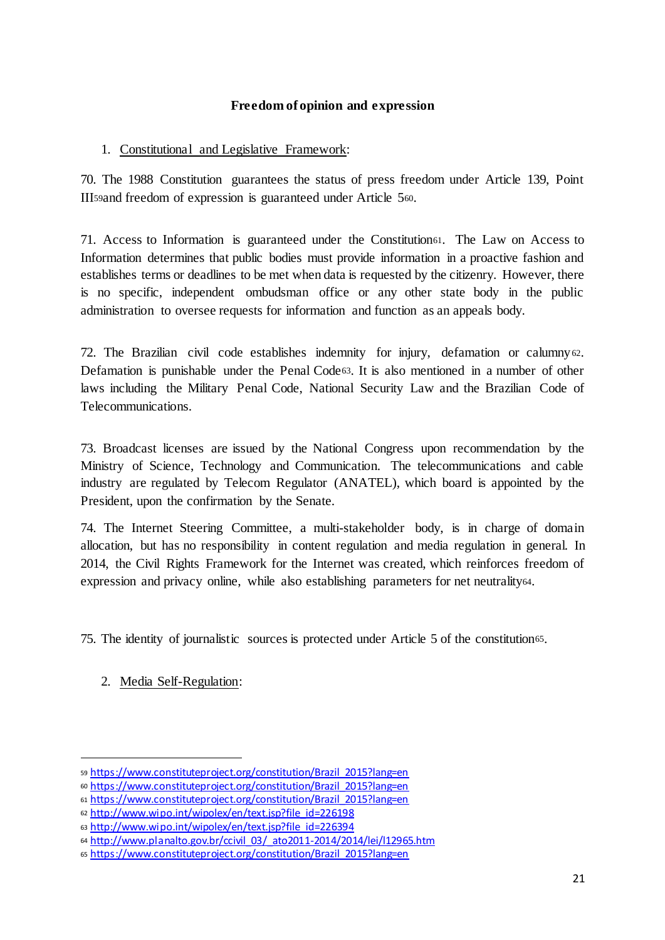### **Freedom of opinion and expression**

### 1. Constitutional and Legislative Framework:

70. The 1988 Constitution guarantees the status of press freedom under Article 139, Point III59and freedom of expression is guaranteed under Article 560.

71. Access to Information is guaranteed under the Constitution61. The Law on Access to Information determines that public bodies must provide information in a proactive fashion and establishes terms or deadlines to be met when data is requested by the citizenry. However, there is no specific, independent ombudsman office or any other state body in the public administration to oversee requests for information and function as an appeals body.

72. The Brazilian civil code establishes indemnity for injury, defamation or calumny62. Defamation is punishable under the Penal Code63. It is also mentioned in a number of other laws including the Military Penal Code, National Security Law and the Brazilian Code of Telecommunications.

73. Broadcast licenses are issued by the National Congress upon recommendation by the Ministry of Science, Technology and Communication. The telecommunications and cable industry are regulated by Telecom Regulator (ANATEL), which board is appointed by the President, upon the confirmation by the Senate.

74. The Internet Steering Committee, a multi-stakeholder body, is in charge of domain allocation, but has no responsibility in content regulation and media regulation in general. In 2014, the Civil Rights Framework for the Internet was created, which reinforces freedom of expression and privacy online, while also establishing parameters for net neutrality64.

75. The identity of journalistic sources is protected under Article 5 of the constitution65.

2. Media Self-Regulation:

<sup>59</sup> https://www.constituteproject.org/constitution/Brazil\_2015?lang=en

<sup>60</sup> https://www.constituteproject.org/constitution/Brazil\_2015?lang=en

<sup>61</sup> https://www.constituteproject.org/constitution/Brazil\_2015?lang=en

<sup>62</sup> http://www.wipo.int/wipolex/en/text.jsp?file\_id=226198

<sup>63</sup> http://www.wipo.int/wipolex/en/text.jsp?file\_id=226394

<sup>64</sup> http://www.planalto.gov.br/ccivil\_03/\_ato2011-2014/2014/lei/l12965.htm

<sup>65</sup> https://www.constituteproject.org/constitution/Brazil\_2015?lang=en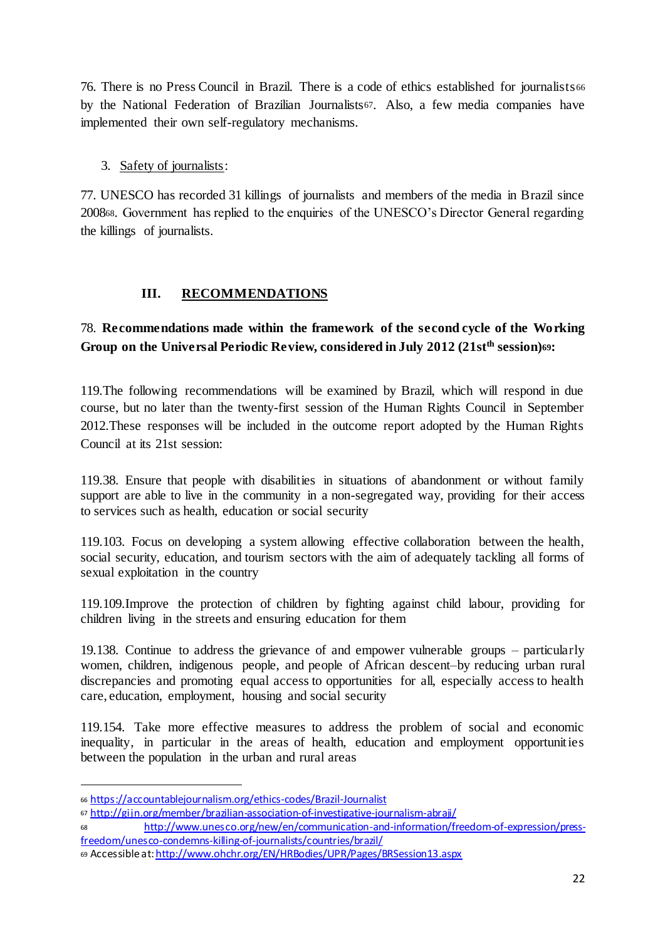76. There is no Press Council in Brazil. There is a code of ethics established for journalists <sup>66</sup> by the National Federation of Brazilian Journalists<sup>67</sup>. Also, a few media companies have implemented their own self-regulatory mechanisms.

### 3. Safety of journalists:

77. UNESCO has recorded 31 killings of journalists and members of the media in Brazil since 200868. Government has replied to the enquiries of the UNESCO's Director General regarding the killings of journalists.

## **III. RECOMMENDATIONS**

# 78. **Recommendations made within the framework of the second cycle of the Working Group on the Universal Periodic Review, considered in July 2012 (21stth session)69:**

119.The following recommendations will be examined by Brazil, which will respond in due course, but no later than the twenty-first session of the Human Rights Council in September 2012.These responses will be included in the outcome report adopted by the Human Rights Council at its 21st session:

119.38. Ensure that people with disabilities in situations of abandonment or without family support are able to live in the community in a non-segregated way, providing for their access to services such as health, education or social security

119.103. Focus on developing a system allowing effective collaboration between the health, social security, education, and tourism sectors with the aim of adequately tackling all forms of sexual exploitation in the country

119.109.Improve the protection of children by fighting against child labour, providing for children living in the streets and ensuring education for them

19.138. Continue to address the grievance of and empower vulnerable groups – particularly women, children, indigenous people, and people of African descent–by reducing urban rural discrepancies and promoting equal access to opportunities for all, especially access to health care, education, employment, housing and social security

119.154. Take more effective measures to address the problem of social and economic inequality, in particular in the areas of health, education and employment opportunities between the population in the urban and rural areas

<sup>66</sup> https://accountablejournalism.org/ethics-codes/Brazil-Journalist

<sup>67</sup> http://gijn.org/member/brazilian-association-of-investigative-journalism-abraji/

<sup>68</sup> http://www.unesco.org/new/en/communication-and-information/freedom-of-expression/pressfreedom/unesco-condemns-killing-of-journalists/countries/brazil/

<sup>69</sup> Accessible at: http://www.ohchr.org/EN/HRBodies/UPR/Pages/BRSession13.aspx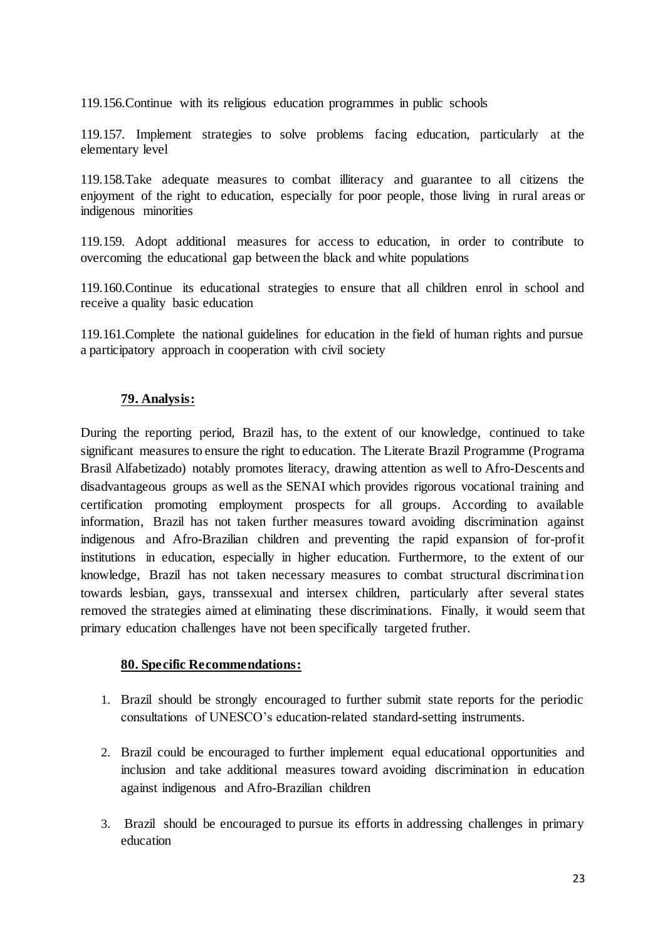119.156.Continue with its religious education programmes in public schools

119.157. Implement strategies to solve problems facing education, particularly at the elementary level

119.158.Take adequate measures to combat illiteracy and guarantee to all citizens the enjoyment of the right to education, especially for poor people, those living in rural areas or indigenous minorities

119.159. Adopt additional measures for access to education, in order to contribute to overcoming the educational gap between the black and white populations

119.160.Continue its educational strategies to ensure that all children enrol in school and receive a quality basic education

119.161.Complete the national guidelines for education in the field of human rights and pursue a participatory approach in cooperation with civil society

#### **79. Analysis:**

During the reporting period, Brazil has, to the extent of our knowledge, continued to take significant measures to ensure the right to education. The Literate Brazil Programme (Programa Brasil Alfabetizado) notably promotes literacy, drawing attention as well to Afro-Descents and disadvantageous groups as well as the SENAI which provides rigorous vocational training and certification promoting employment prospects for all groups. According to available information, Brazil has not taken further measures toward avoiding discrimination against indigenous and Afro-Brazilian children and preventing the rapid expansion of for-profit institutions in education, especially in higher education. Furthermore, to the extent of our knowledge, Brazil has not taken necessary measures to combat structural discrimination towards lesbian, gays, transsexual and intersex children, particularly after several states removed the strategies aimed at eliminating these discriminations. Finally, it would seem that primary education challenges have not been specifically targeted fruther.

#### **80. Specific Recommendations:**

- 1. Brazil should be strongly encouraged to further submit state reports for the periodic consultations of UNESCO's education-related standard-setting instruments.
- 2. Brazil could be encouraged to further implement equal educational opportunities and inclusion and take additional measures toward avoiding discrimination in education against indigenous and Afro-Brazilian children
- 3. Brazil should be encouraged to pursue its efforts in addressing challenges in primary education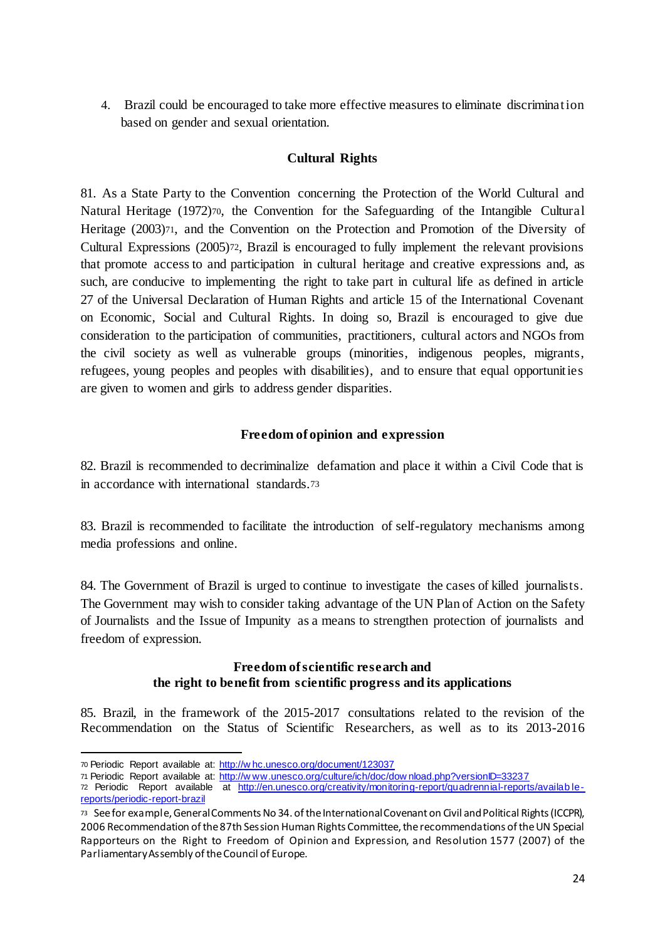4. Brazil could be encouraged to take more effective measures to eliminate discrimination based on gender and sexual orientation.

### **Cultural Rights**

81. As a State Party to the Convention concerning the Protection of the World Cultural and Natural Heritage (1972)70, the Convention for the Safeguarding of the Intangible Cultural Heritage (2003)71, and the Convention on the Protection and Promotion of the Diversity of Cultural Expressions (2005)72, Brazil is encouraged to fully implement the relevant provisions that promote access to and participation in cultural heritage and creative expressions and, as such, are conducive to implementing the right to take part in cultural life as defined in article 27 of the Universal Declaration of Human Rights and article 15 of the International Covenant on Economic, Social and Cultural Rights. In doing so, Brazil is encouraged to give due consideration to the participation of communities, practitioners, cultural actors and NGOs from the civil society as well as vulnerable groups (minorities, indigenous peoples, migrants, refugees, young peoples and peoples with disabilities), and to ensure that equal opportunities are given to women and girls to address gender disparities.

#### **Freedom of opinion and expression**

82. Brazil is recommended to decriminalize defamation and place it within a Civil Code that is in accordance with international standards.<sup>73</sup>

83. Brazil is recommended to facilitate the introduction of self-regulatory mechanisms among media professions and online.

84. The Government of Brazil is urged to continue to investigate the cases of killed journalists. The Government may wish to consider taking advantage of the UN Plan of Action on the Safety of Journalists and the Issue of Impunity as a means to strengthen protection of journalists and freedom of expression.

#### **Freedom of scientific research and the right to benefit from scientific progress and its applications**

85. Brazil, in the framework of the 2015-2017 consultations related to the revision of the Recommendation on the Status of Scientific Researchers, as well as to its 2013-2016

 $\overline{a}$ 70 Periodic Report available at: http://w hc.unesco.org/document/123037

<sup>71</sup> Periodic Report available at: http://w ww.unesco.org/culture/ich/doc/dow nload.php?versionID=33237

<sup>72</sup> Periodic Report available at http://en.unesco.org/creativity/monitoring-report/quadrennial-reports/availab lereports/periodic-report-brazil

<sup>73</sup> See for example, General Comments No 34. of the International Covenant on Civil and Political Rights (ICCPR), 2006 Recommendation of the 87th Session Human Rights Committee, the recommendations of the UN Special Rapporteurs on the Right to Freedom of Opinion and Expression, and Resolution 1577 (2007) of the Parliamentary Assembly of the Council of Europe.